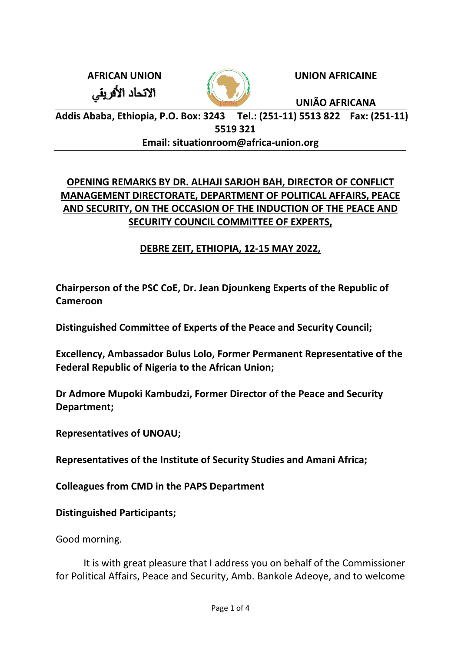الاتحاد الأفريقي



**AFRICAN UNION UNION AFRICAINE**

**UNIÃO AFRICANA**

**Addis Ababa, Ethiopia, P.O. Box: 3243 Tel.: (251-11) 5513 822 Fax: (251-11) 5519 321**

**Email: situationroom@africa-union.org**

## **OPENING REMARKS BY DR. ALHAJI SARJOH BAH, DIRECTOR OF CONFLICT MANAGEMENT DIRECTORATE, DEPARTMENT OF POLITICAL AFFAIRS, PEACE AND SECURITY, ON THE OCCASION OF THE INDUCTION OF THE PEACE AND SECURITY COUNCIL COMMITTEE OF EXPERTS,**

## **DEBRE ZEIT, ETHIOPIA, 12-15 MAY 2022,**

**Chairperson of the PSC CoE, Dr. Jean Djounkeng Experts of the Republic of Cameroon**

**Distinguished Committee of Experts of the Peace and Security Council;** 

**Excellency, Ambassador Bulus Lolo, Former Permanent Representative of the Federal Republic of Nigeria to the African Union;**

**Dr Admore Mupoki Kambudzi, Former Director of the Peace and Security Department;** 

**Representatives of UNOAU;**

**Representatives of the Institute of Security Studies and Amani Africa;**

**Colleagues from CMD in the PAPS Department**

**Distinguished Participants;**

Good morning.

It is with great pleasure that I address you on behalf of the Commissioner for Political Affairs, Peace and Security, Amb. Bankole Adeoye, and to welcome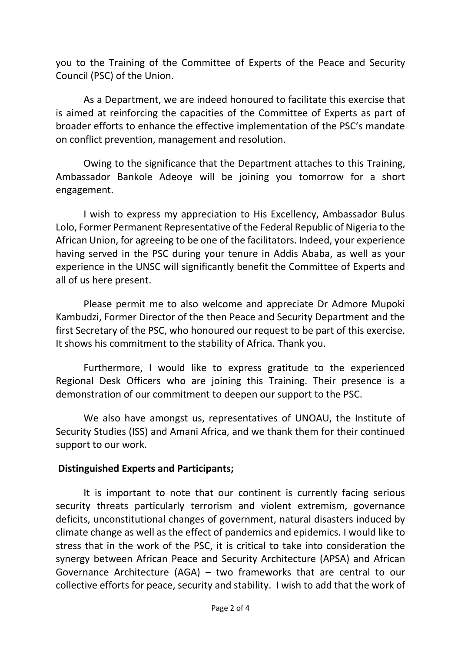you to the Training of the Committee of Experts of the Peace and Security Council (PSC) of the Union.

As a Department, we are indeed honoured to facilitate this exercise that is aimed at reinforcing the capacities of the Committee of Experts as part of broader efforts to enhance the effective implementation of the PSC's mandate on conflict prevention, management and resolution.

Owing to the significance that the Department attaches to this Training, Ambassador Bankole Adeoye will be joining you tomorrow for a short engagement.

I wish to express my appreciation to His Excellency, Ambassador Bulus Lolo, Former Permanent Representative of the Federal Republic of Nigeria to the African Union, for agreeing to be one of the facilitators. Indeed, your experience having served in the PSC during your tenure in Addis Ababa, as well as your experience in the UNSC will significantly benefit the Committee of Experts and all of us here present.

Please permit me to also welcome and appreciate Dr Admore Mupoki Kambudzi, Former Director of the then Peace and Security Department and the first Secretary of the PSC, who honoured our request to be part of this exercise. It shows his commitment to the stability of Africa. Thank you.

Furthermore, I would like to express gratitude to the experienced Regional Desk Officers who are joining this Training. Their presence is a demonstration of our commitment to deepen our support to the PSC.

We also have amongst us, representatives of UNOAU, the Institute of Security Studies (ISS) and Amani Africa, and we thank them for their continued support to our work.

## **Distinguished Experts and Participants;**

It is important to note that our continent is currently facing serious security threats particularly terrorism and violent extremism, governance deficits, unconstitutional changes of government, natural disasters induced by climate change as well as the effect of pandemics and epidemics. I would like to stress that in the work of the PSC, it is critical to take into consideration the synergy between African Peace and Security Architecture (APSA) and African Governance Architecture (AGA) – two frameworks that are central to our collective efforts for peace, security and stability. I wish to add that the work of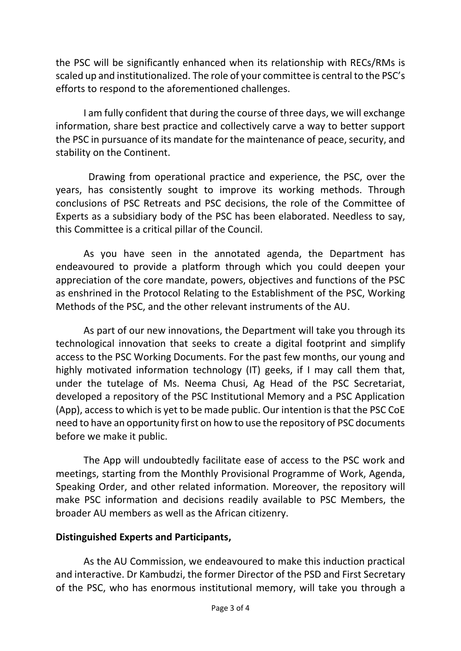the PSC will be significantly enhanced when its relationship with RECs/RMs is scaled up and institutionalized. The role of your committee is central to the PSC's efforts to respond to the aforementioned challenges.

I am fully confident that during the course of three days, we will exchange information, share best practice and collectively carve a way to better support the PSC in pursuance of its mandate for the maintenance of peace, security, and stability on the Continent.

 Drawing from operational practice and experience, the PSC, over the years, has consistently sought to improve its working methods. Through conclusions of PSC Retreats and PSC decisions, the role of the Committee of Experts as a subsidiary body of the PSC has been elaborated. Needless to say, this Committee is a critical pillar of the Council.

As you have seen in the annotated agenda, the Department has endeavoured to provide a platform through which you could deepen your appreciation of the core mandate, powers, objectives and functions of the PSC as enshrined in the Protocol Relating to the Establishment of the PSC, Working Methods of the PSC, and the other relevant instruments of the AU.

As part of our new innovations, the Department will take you through its technological innovation that seeks to create a digital footprint and simplify access to the PSC Working Documents. For the past few months, our young and highly motivated information technology (IT) geeks, if I may call them that, under the tutelage of Ms. Neema Chusi, Ag Head of the PSC Secretariat, developed a repository of the PSC Institutional Memory and a PSC Application (App), access to which is yet to be made public. Our intention is that the PSC CoE need to have an opportunity first on how to use the repository of PSC documents before we make it public.

The App will undoubtedly facilitate ease of access to the PSC work and meetings, starting from the Monthly Provisional Programme of Work, Agenda, Speaking Order, and other related information. Moreover, the repository will make PSC information and decisions readily available to PSC Members, the broader AU members as well as the African citizenry.

## **Distinguished Experts and Participants,**

As the AU Commission, we endeavoured to make this induction practical and interactive. Dr Kambudzi, the former Director of the PSD and First Secretary of the PSC, who has enormous institutional memory, will take you through a